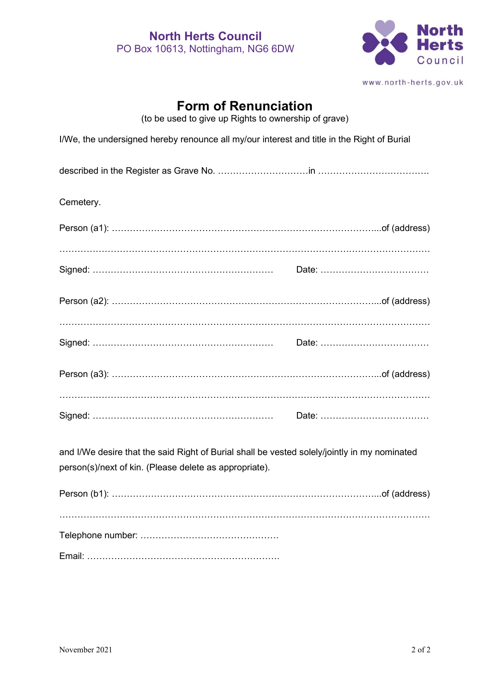

www.north-herts.gov.uk

## **Form of Renunciation**

(to be used to give up Rights to ownership of grave)

| I/We, the undersigned hereby renounce all my/our interest and title in the Right of Burial                                                             |  |  |
|--------------------------------------------------------------------------------------------------------------------------------------------------------|--|--|
|                                                                                                                                                        |  |  |
| Cemetery.                                                                                                                                              |  |  |
|                                                                                                                                                        |  |  |
|                                                                                                                                                        |  |  |
|                                                                                                                                                        |  |  |
|                                                                                                                                                        |  |  |
|                                                                                                                                                        |  |  |
|                                                                                                                                                        |  |  |
|                                                                                                                                                        |  |  |
|                                                                                                                                                        |  |  |
|                                                                                                                                                        |  |  |
| and I/We desire that the said Right of Burial shall be vested solely/jointly in my nominated<br>person(s)/next of kin. (Please delete as appropriate). |  |  |
|                                                                                                                                                        |  |  |
|                                                                                                                                                        |  |  |